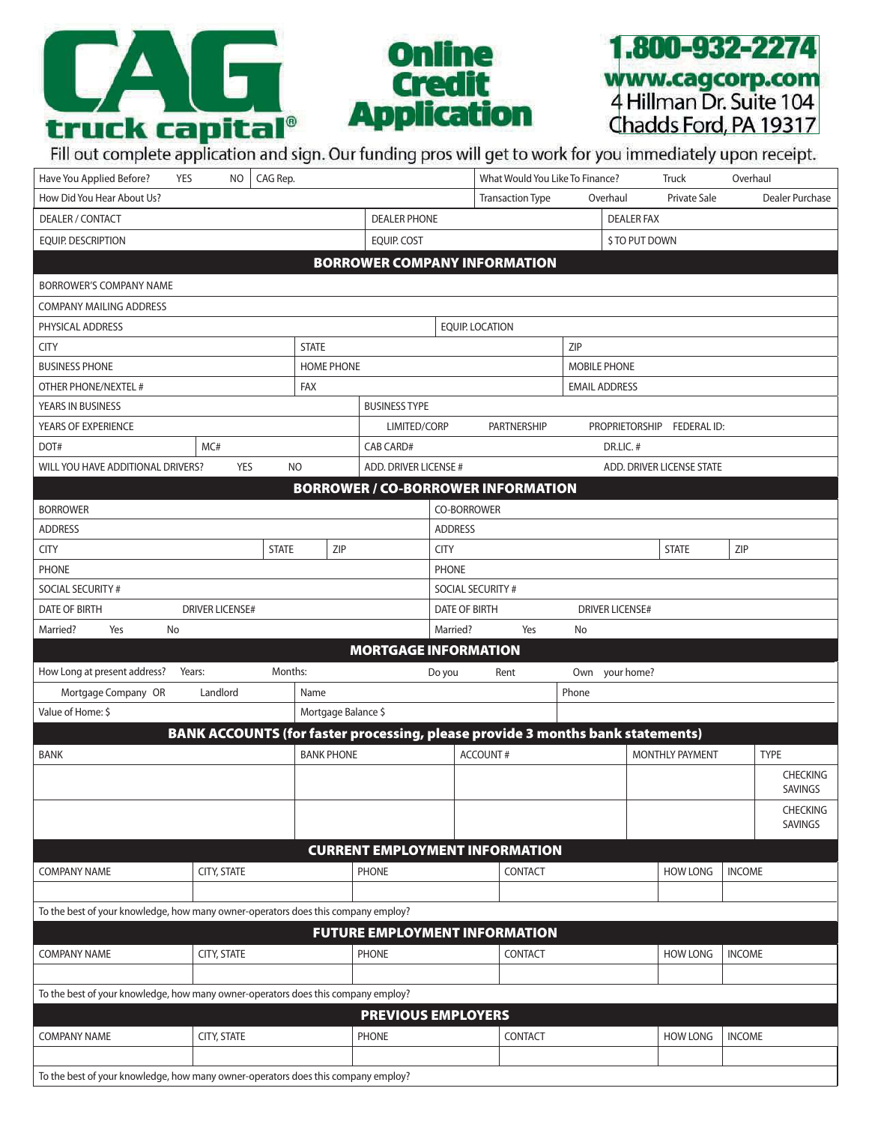





| Have You Applied Before?<br>CAG Rep.<br>YES<br>NO.                                |                    |              |                     |                                         | What Would You Like To Finance?<br>Truck<br>Overhaul |                                                                                |                      |  |                            |               |                            |
|-----------------------------------------------------------------------------------|--------------------|--------------|---------------------|-----------------------------------------|------------------------------------------------------|--------------------------------------------------------------------------------|----------------------|--|----------------------------|---------------|----------------------------|
| How Did You Hear About Us?                                                        |                    |              |                     |                                         |                                                      | <b>Transaction Type</b><br>Overhaul                                            |                      |  | Private Sale               |               | Dealer Purchase            |
| DEALER / CONTACT                                                                  |                    |              | <b>DEALER PHONE</b> |                                         |                                                      | <b>DEALER FAX</b>                                                              |                      |  |                            |               |                            |
| <b>EQUIP. DESCRIPTION</b>                                                         |                    |              | EQUIP. COST         |                                         |                                                      |                                                                                | \$ TO PUT DOWN       |  |                            |               |                            |
| <b>BORROWER COMPANY INFORMATION</b>                                               |                    |              |                     |                                         |                                                      |                                                                                |                      |  |                            |               |                            |
| BORROWER'S COMPANY NAME                                                           |                    |              |                     |                                         |                                                      |                                                                                |                      |  |                            |               |                            |
| <b>COMPANY MAILING ADDRESS</b>                                                    |                    |              |                     |                                         |                                                      |                                                                                |                      |  |                            |               |                            |
| PHYSICAL ADDRESS                                                                  |                    |              |                     |                                         |                                                      | <b>EQUIP. LOCATION</b>                                                         |                      |  |                            |               |                            |
| <b>STATE</b><br><b>CITY</b>                                                       |                    |              |                     |                                         |                                                      |                                                                                | ZIP                  |  |                            |               |                            |
| <b>BUSINESS PHONE</b><br><b>HOME PHONE</b>                                        |                    |              |                     |                                         |                                                      | <b>MOBILE PHONE</b>                                                            |                      |  |                            |               |                            |
| OTHER PHONE/NEXTEL #                                                              |                    |              | FAX                 |                                         |                                                      |                                                                                | <b>EMAIL ADDRESS</b> |  |                            |               |                            |
| YEARS IN BUSINESS                                                                 |                    |              |                     | <b>BUSINESS TYPE</b>                    |                                                      |                                                                                |                      |  |                            |               |                            |
| YEARS OF EXPERIENCE                                                               |                    |              |                     | LIMITED/CORP<br>PARTNERSHIP             |                                                      |                                                                                |                      |  | PROPRIETORSHIP FEDERAL ID: |               |                            |
| DOT#<br>MC#                                                                       |                    |              | <b>CAB CARD#</b>    |                                         |                                                      | DR.LIC. #                                                                      |                      |  |                            |               |                            |
| WILL YOU HAVE ADDITIONAL DRIVERS?                                                 | <b>YES</b>         | <b>NO</b>    |                     | ADD. DRIVER LICENSE #                   |                                                      |                                                                                |                      |  | ADD. DRIVER LICENSE STATE  |               |                            |
|                                                                                   |                    |              |                     |                                         |                                                      | <b>BORROWER / CO-BORROWER INFORMATION</b>                                      |                      |  |                            |               |                            |
| <b>BORROWER</b>                                                                   |                    |              |                     |                                         |                                                      | CO-BORROWER                                                                    |                      |  |                            |               |                            |
| <b>ADDRESS</b>                                                                    |                    |              |                     |                                         | <b>ADDRESS</b>                                       |                                                                                |                      |  |                            |               |                            |
| <b>CITY</b>                                                                       |                    | <b>STATE</b> | ZIP                 |                                         | <b>CITY</b>                                          |                                                                                |                      |  | <b>STATE</b>               | ZIP           |                            |
| <b>PHONE</b>                                                                      |                    |              |                     |                                         | <b>PHONE</b>                                         |                                                                                |                      |  |                            |               |                            |
| SOCIAL SECURITY #                                                                 |                    |              |                     |                                         | SOCIAL SECURITY #                                    |                                                                                |                      |  |                            |               |                            |
| DATE OF BIRTH<br><b>DRIVER LICENSE#</b>                                           |                    |              |                     | DATE OF BIRTH<br><b>DRIVER LICENSE#</b> |                                                      |                                                                                |                      |  |                            |               |                            |
| Married?<br>Yes<br>No                                                             |                    |              |                     |                                         | Married?<br>Yes<br>No                                |                                                                                |                      |  |                            |               |                            |
|                                                                                   |                    |              |                     | <b>MORTGAGE INFORMATION</b>             |                                                      |                                                                                |                      |  |                            |               |                            |
| How Long at present address? Years:                                               |                    | Months:      |                     |                                         | Do you                                               | Rent                                                                           | Own your home?       |  |                            |               |                            |
| Landlord<br>Mortgage Company OR<br>Name                                           |                    |              |                     | Phone                                   |                                                      |                                                                                |                      |  |                            |               |                            |
| Value of Home: \$                                                                 |                    |              | Mortgage Balance \$ |                                         |                                                      |                                                                                |                      |  |                            |               |                            |
|                                                                                   |                    |              |                     |                                         |                                                      | BANK ACCOUNTS (for faster processing, please provide 3 months bank statements) |                      |  |                            |               |                            |
| <b>BANK</b>                                                                       |                    |              | <b>BANK PHONE</b>   |                                         |                                                      | <b>ACCOUNT#</b>                                                                |                      |  | <b>MONTHLY PAYMENT</b>     |               | <b>TYPE</b>                |
|                                                                                   |                    |              |                     |                                         |                                                      |                                                                                |                      |  |                            |               | <b>CHECKING</b><br>SAVINGS |
|                                                                                   |                    |              |                     |                                         |                                                      |                                                                                |                      |  |                            |               | CHECKING                   |
|                                                                                   |                    |              |                     |                                         |                                                      |                                                                                |                      |  |                            |               | <b>SAVINGS</b>             |
|                                                                                   |                    |              |                     |                                         |                                                      |                                                                                |                      |  |                            |               |                            |
|                                                                                   |                    |              |                     |                                         |                                                      | <b>CURRENT EMPLOYMENT INFORMATION</b>                                          |                      |  |                            |               |                            |
| <b>COMPANY NAME</b>                                                               | <b>CITY, STATE</b> |              |                     | <b>PHONE</b>                            |                                                      | CONTACT                                                                        |                      |  | <b>HOW LONG</b>            | <b>INCOME</b> |                            |
|                                                                                   |                    |              |                     |                                         |                                                      |                                                                                |                      |  |                            |               |                            |
| To the best of your knowledge, how many owner-operators does this company employ? |                    |              |                     |                                         |                                                      |                                                                                |                      |  |                            |               |                            |
|                                                                                   |                    |              |                     |                                         |                                                      | <b>FUTURE EMPLOYMENT INFORMATION</b>                                           |                      |  |                            |               |                            |
| <b>COMPANY NAME</b>                                                               | <b>CITY, STATE</b> |              |                     | <b>PHONE</b>                            |                                                      | CONTACT                                                                        |                      |  | <b>HOW LONG</b>            | <b>INCOME</b> |                            |
|                                                                                   |                    |              |                     |                                         |                                                      |                                                                                |                      |  |                            |               |                            |
| To the best of your knowledge, how many owner-operators does this company employ? |                    |              |                     |                                         |                                                      |                                                                                |                      |  |                            |               |                            |
|                                                                                   |                    |              |                     | <b>PREVIOUS EMPLOYERS</b>               |                                                      |                                                                                |                      |  |                            |               |                            |
| <b>COMPANY NAME</b>                                                               | CITY, STATE        |              |                     | <b>PHONE</b>                            |                                                      | CONTACT                                                                        |                      |  | <b>HOW LONG</b>            | <b>INCOME</b> |                            |